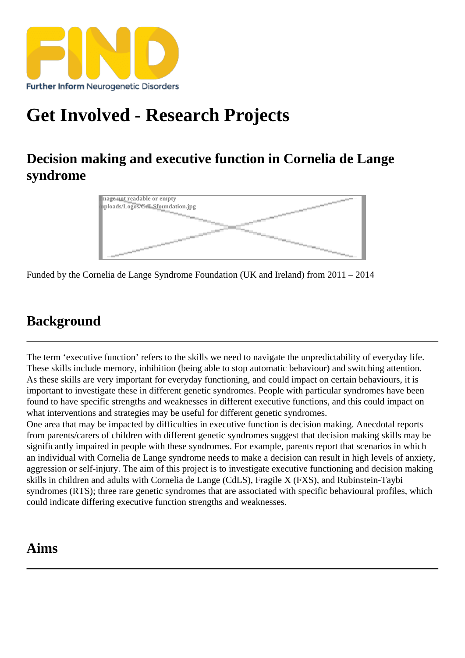# [Get Involved - Res](https://findresources.co.uk)earch Projects

Decision making and executive function in Cornelia de Lange syndrome

> Image not readable or empty /uploads/Logos/CdLSfoundation.jpg

Funded by the Cornelia de Lange Syndrome Foundation (UK and Ireland) from 2011 – 2014

# **Background**

The term 'executive function' refers to the skills we need to navigate the unpredictability of everyday life. These skills include memory, inhibition (being able to stop automatic behaviour) and switching attention. As these skills are verty portant for every day functioning nd could impact on certain behaviours, it is important to investigate these in different genetic syndromes. People with particular syndromes have been found to have specific strengths and weaknesses in different executive functions, and this could impact on what interventions and strategies may be useful for different genetic syndromes. One area that may be impacted by difficulties in executive function is decision making. Anecdotal reports from parents/carers of children with different genetic syndromes suggest that decision making skills may be significantly impairedn people with these syndromes. For example, parents report that scenarios in which an individual with Cornelia de Lange syndrome needs to make a decision can result in high levels of anxiety, aggression or self-injury. The aim of this project is to investigate executive functioning and decision making skills in children and adults with Cornelia de Lange (CdLS), Fragile X (FXS), and Rubinstein-Taybi

syndromes (RTS); three rare genetic syndromes that are associated with specific behavioural profiles, which could indicate differing executive function strengths and weaknesses.

# Aims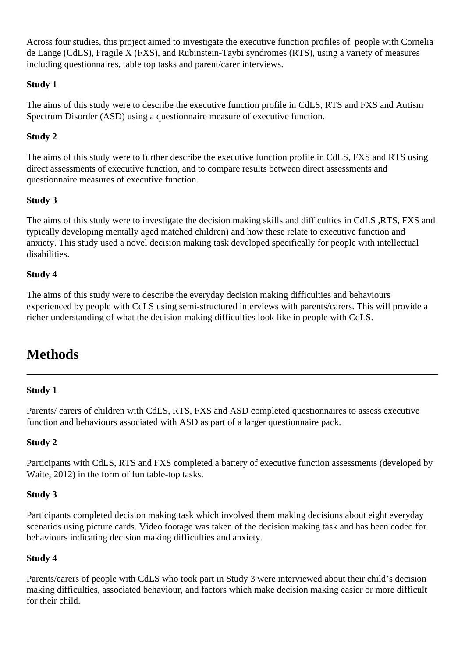Across four studies, this project aimed to investigate the executive function profiles of people with Cornelia de Lange (CdLS), Fragile X (FXS), and Rubinstein-Taybi syndromes (RTS), using a variety of measures including questionnaires, table top tasks and parent/carer interviews.

### **Study 1**

The aims of this study were to describe the executive function profile in CdLS, RTS and FXS and Autism Spectrum Disorder (ASD) using a questionnaire measure of executive function.

### **Study 2**

The aims of this study were to further describe the executive function profile in CdLS, FXS and RTS using direct assessments of executive function, and to compare results between direct assessments and questionnaire measures of executive function.

### **Study 3**

The aims of this study were to investigate the decision making skills and difficulties in CdLS ,RTS, FXS and typically developing mentally aged matched children) and how these relate to executive function and anxiety. This study used a novel decision making task developed specifically for people with intellectual disabilities.

### **Study 4**

The aims of this study were to describe the everyday decision making difficulties and behaviours experienced by people with CdLS using semi-structured interviews with parents/carers. This will provide a richer understanding of what the decision making difficulties look like in people with CdLS.

# **Methods**

#### **Study 1**

Parents/ carers of children with CdLS, RTS, FXS and ASD completed questionnaires to assess executive function and behaviours associated with ASD as part of a larger questionnaire pack.

### **Study 2**

Participants with CdLS, RTS and FXS completed a battery of executive function assessments (developed by Waite, 2012) in the form of fun table-top tasks.

#### **Study 3**

Participants completed decision making task which involved them making decisions about eight everyday scenarios using picture cards. Video footage was taken of the decision making task and has been coded for behaviours indicating decision making difficulties and anxiety.

#### **Study 4**

Parents/carers of people with CdLS who took part in Study 3 were interviewed about their child's decision making difficulties, associated behaviour, and factors which make decision making easier or more difficult for their child.